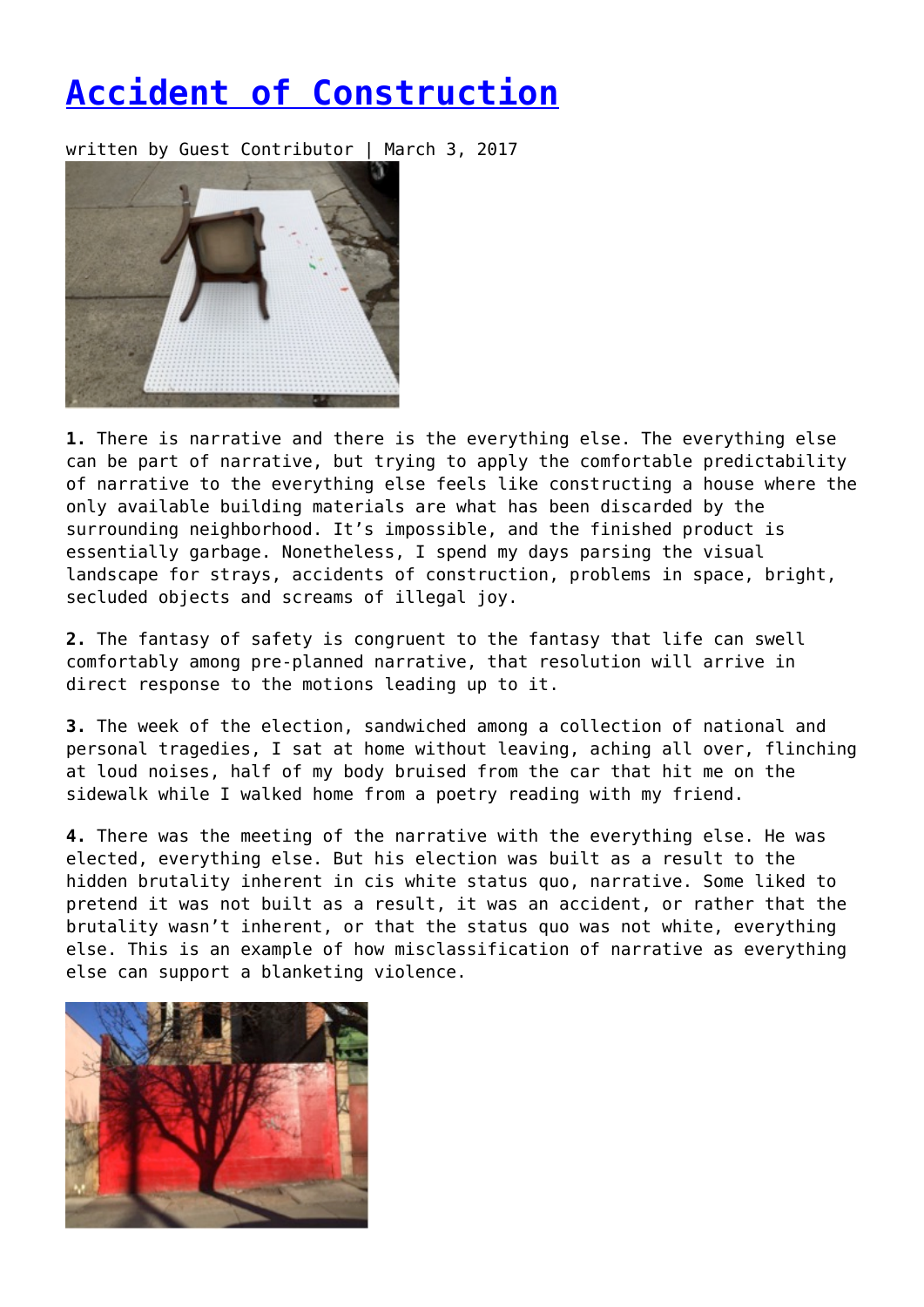## **[Accident of Construction](https://entropymag.org/accident-of-construction/)**

written by Guest Contributor | March 3, 2017



**1.** There is narrative and there is the everything else. The everything else can be part of narrative, but trying to apply the comfortable predictability of narrative to the everything else feels like constructing a house where the only available building materials are what has been discarded by the surrounding neighborhood. It's impossible, and the finished product is essentially garbage. Nonetheless, I spend my days parsing the visual landscape for strays, accidents of construction, problems in space, bright, secluded objects and screams of illegal joy.

**2.** The fantasy of safety is congruent to the fantasy that life can swell comfortably among pre-planned narrative, that resolution will arrive in direct response to the motions leading up to it.

**3.** The week of the election, sandwiched among a collection of national and personal tragedies, I sat at home without leaving, aching all over, flinching at loud noises, half of my body bruised from the car that hit me on the sidewalk while I walked home from a poetry reading with my friend.

**4.** There was the meeting of the narrative with the everything else. He was elected, everything else. But his election was built as a result to the hidden brutality inherent in cis white status quo, narrative. Some liked to pretend it was not built as a result, it was an accident, or rather that the brutality wasn't inherent, or that the status quo was not white, everything else. This is an example of how misclassification of narrative as everything else can support a blanketing violence.

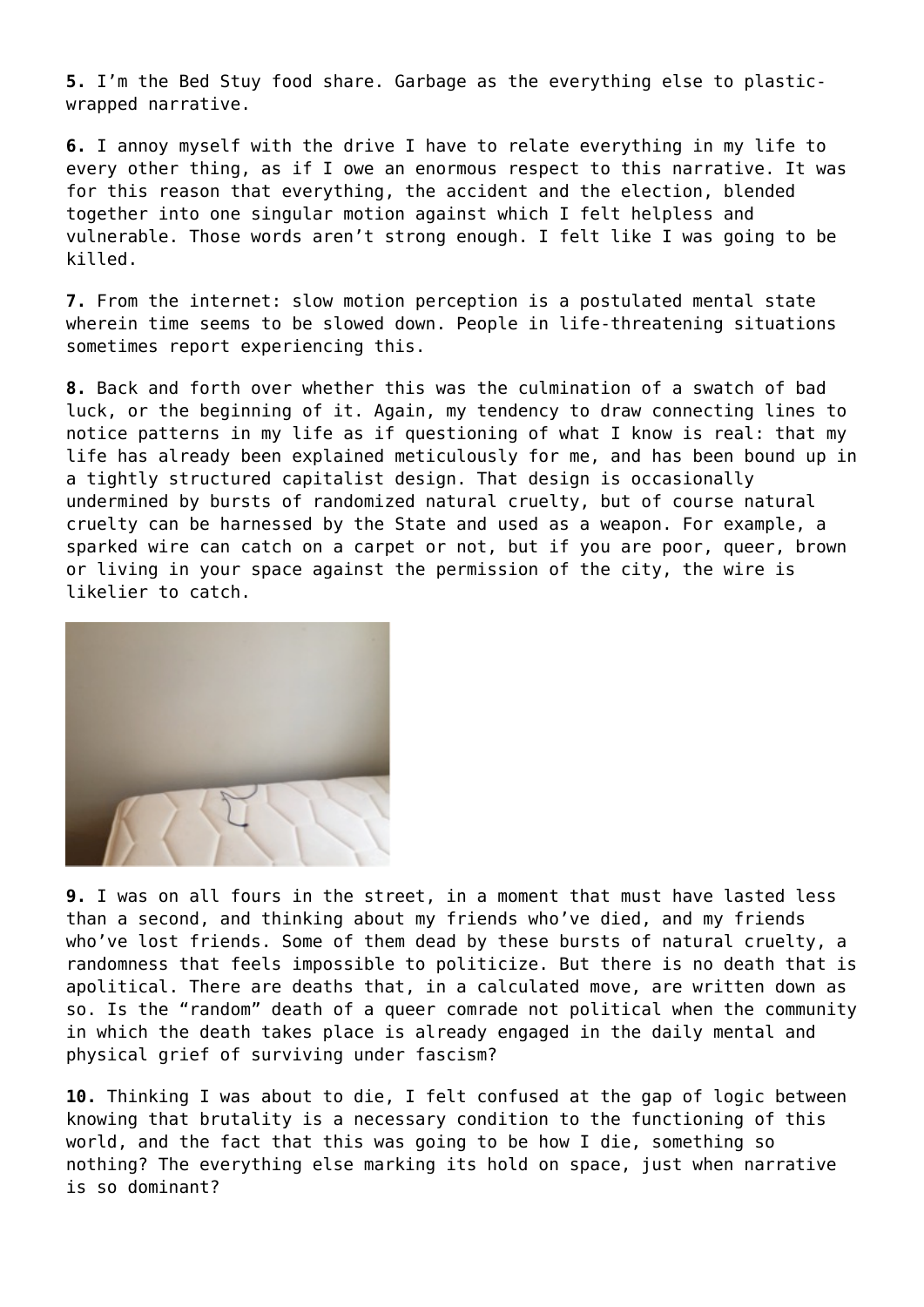**5.** I'm the Bed Stuy food share. Garbage as the everything else to plasticwrapped narrative.

**6.** I annoy myself with the drive I have to relate everything in my life to every other thing, as if I owe an enormous respect to this narrative. It was for this reason that everything, the accident and the election, blended together into one singular motion against which I felt helpless and vulnerable. Those words aren't strong enough. I felt like I was going to be killed.

**7.** From the internet: slow motion perception is a postulated mental state wherein time seems to be slowed down. People in life-threatening situations sometimes report experiencing this.

**8.** Back and forth over whether this was the culmination of a swatch of bad luck, or the beginning of it. Again, my tendency to draw connecting lines to notice patterns in my life as if questioning of what I know is real: that my life has already been explained meticulously for me, and has been bound up in a tightly structured capitalist design. That design is occasionally undermined by bursts of randomized natural cruelty, but of course natural cruelty can be harnessed by the State and used as a weapon. For example, a sparked wire can catch on a carpet or not, but if you are poor, queer, brown or living in your space against the permission of the city, the wire is likelier to catch.



**9.** I was on all fours in the street, in a moment that must have lasted less than a second, and thinking about my friends who've died, and my friends who've lost friends. Some of them dead by these bursts of natural cruelty, a randomness that feels impossible to politicize. But there is no death that is apolitical. There are deaths that, in a calculated move, are written down as so. Is the "random" death of a queer comrade not political when the community in which the death takes place is already engaged in the daily mental and physical grief of surviving under fascism?

**10.** Thinking I was about to die, I felt confused at the gap of logic between knowing that brutality is a necessary condition to the functioning of this world, and the fact that this was going to be how I die, something so nothing? The everything else marking its hold on space, just when narrative is so dominant?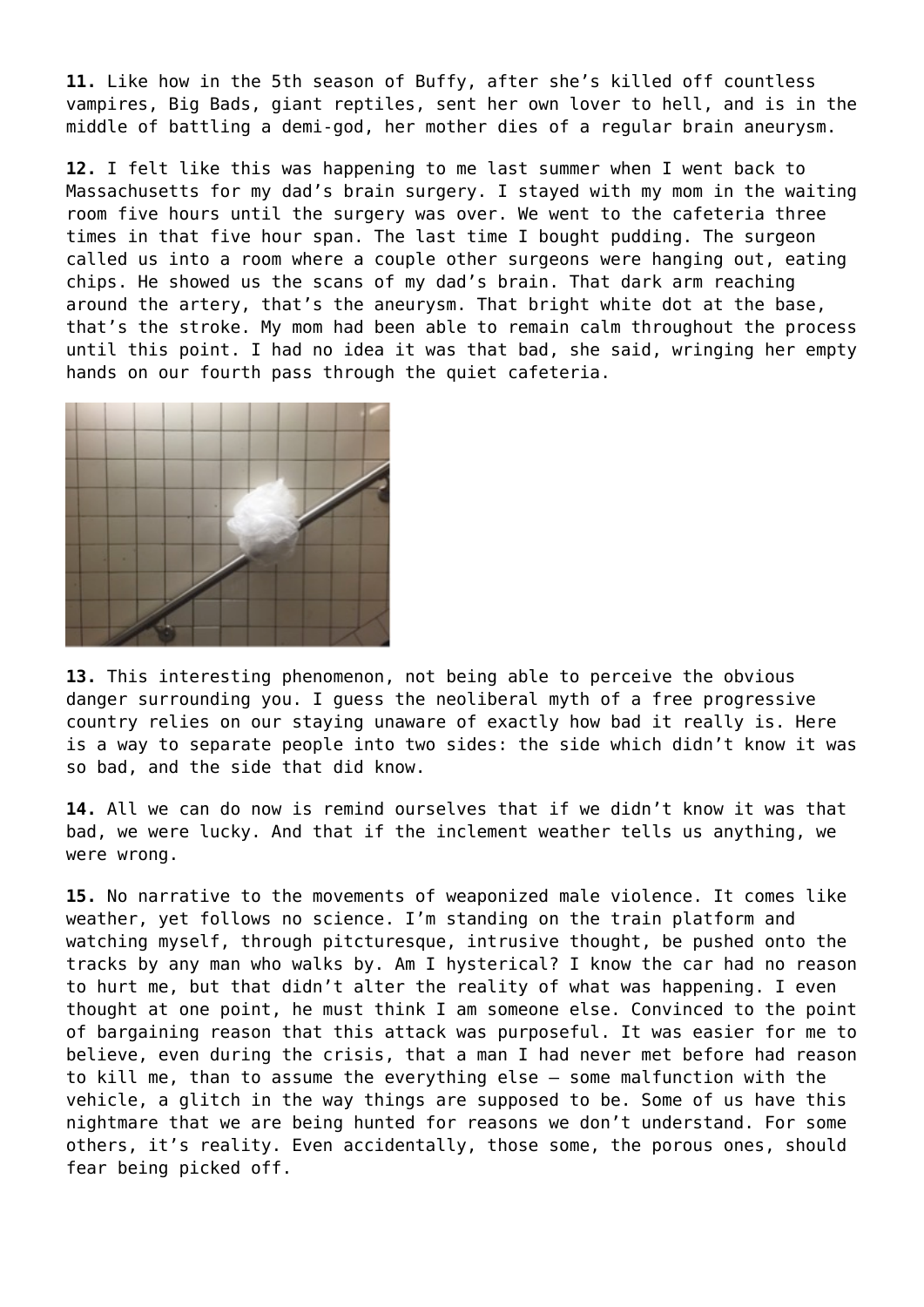**11.** Like how in the 5th season of Buffy, after she's killed off countless vampires, Big Bads, giant reptiles, sent her own lover to hell, and is in the middle of battling a demi-god, her mother dies of a regular brain aneurysm.

**12.** I felt like this was happening to me last summer when I went back to Massachusetts for my dad's brain surgery. I stayed with my mom in the waiting room five hours until the surgery was over. We went to the cafeteria three times in that five hour span. The last time I bought pudding. The surgeon called us into a room where a couple other surgeons were hanging out, eating chips. He showed us the scans of my dad's brain. That dark arm reaching around the artery, that's the aneurysm. That bright white dot at the base, that's the stroke. My mom had been able to remain calm throughout the process until this point. I had no idea it was that bad, she said, wringing her empty hands on our fourth pass through the quiet cafeteria.



**13.** This interesting phenomenon, not being able to perceive the obvious danger surrounding you. I guess the neoliberal myth of a free progressive country relies on our staying unaware of exactly how bad it really is. Here is a way to separate people into two sides: the side which didn't know it was so bad, and the side that did know.

**14.** All we can do now is remind ourselves that if we didn't know it was that bad, we were lucky. And that if the inclement weather tells us anything, we were wrong.

**15.** No narrative to the movements of weaponized male violence. It comes like weather, yet follows no science. I'm standing on the train platform and watching myself, through pitcturesque, intrusive thought, be pushed onto the tracks by any man who walks by. Am I hysterical? I know the car had no reason to hurt me, but that didn't alter the reality of what was happening. I even thought at one point, he must think I am someone else. Convinced to the point of bargaining reason that this attack was purposeful. It was easier for me to believe, even during the crisis, that a man I had never met before had reason to kill me, than to assume the everything else – some malfunction with the vehicle, a glitch in the way things are supposed to be. Some of us have this nightmare that we are being hunted for reasons we don't understand. For some others, it's reality. Even accidentally, those some, the porous ones, should fear being picked off.